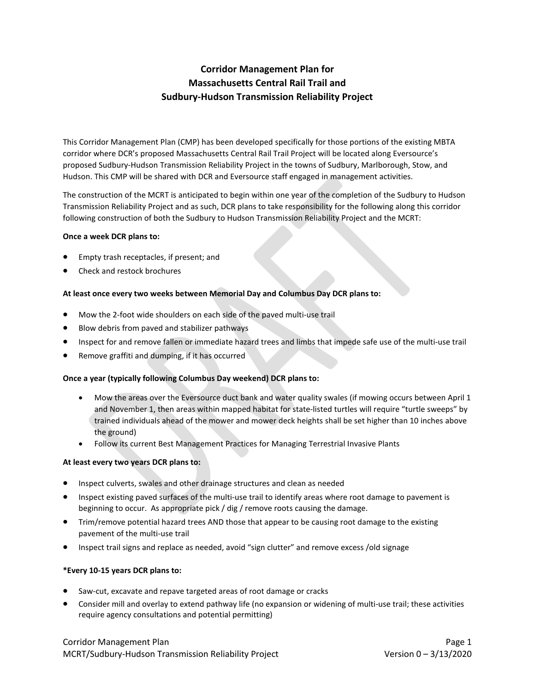# **Corridor Management Plan for Massachusetts Central Rail Trail and Sudbury-Hudson Transmission Reliability Project**

This Corridor Management Plan (CMP) has been developed specifically for those portions of the existing MBTA corridor where DCR's proposed Massachusetts Central Rail Trail Project will be located along Eversource's proposed Sudbury-Hudson Transmission Reliability Project in the towns of Sudbury, Marlborough, Stow, and Hudson. This CMP will be shared with DCR and Eversource staff engaged in management activities.

The construction of the MCRT is anticipated to begin within one year of the completion of the Sudbury to Hudson Transmission Reliability Project and as such, DCR plans to take responsibility for the following along this corridor following construction of both the Sudbury to Hudson Transmission Reliability Project and the MCRT:

#### **Once a week DCR plans to:**

- Empty trash receptacles, if present; and
- Check and restock brochures

## **At least once every two weeks between Memorial Day and Columbus Day DCR plans to:**

- Mow the 2-foot wide shoulders on each side of the paved multi-use trail
- Blow debris from paved and stabilizer pathways
- Inspect for and remove fallen or immediate hazard trees and limbs that impede safe use of the multi-use trail
- Remove graffiti and dumping, if it has occurred

## **Once a year (typically following Columbus Day weekend) DCR plans to:**

- Mow the areas over the Eversource duct bank and water quality swales (if mowing occurs between April 1 and November 1, then areas within mapped habitat for state-listed turtles will require "turtle sweeps" by trained individuals ahead of the mower and mower deck heights shall be set higher than 10 inches above the ground)
- Follow its current Best Management Practices for Managing Terrestrial Invasive Plants

## **At least every two years DCR plans to:**

- Inspect culverts, swales and other drainage structures and clean as needed
- Inspect existing paved surfaces of the multi-use trail to identify areas where root damage to pavement is beginning to occur. As appropriate pick / dig / remove roots causing the damage.
- Trim/remove potential hazard trees AND those that appear to be causing root damage to the existing pavement of the multi-use trail
- Inspect trail signs and replace as needed, avoid "sign clutter" and remove excess /old signage

## **\*Every 10-15 years DCR plans to:**

- Saw-cut, excavate and repave targeted areas of root damage or cracks
- Consider mill and overlay to extend pathway life (no expansion or widening of multi-use trail; these activities require agency consultations and potential permitting)